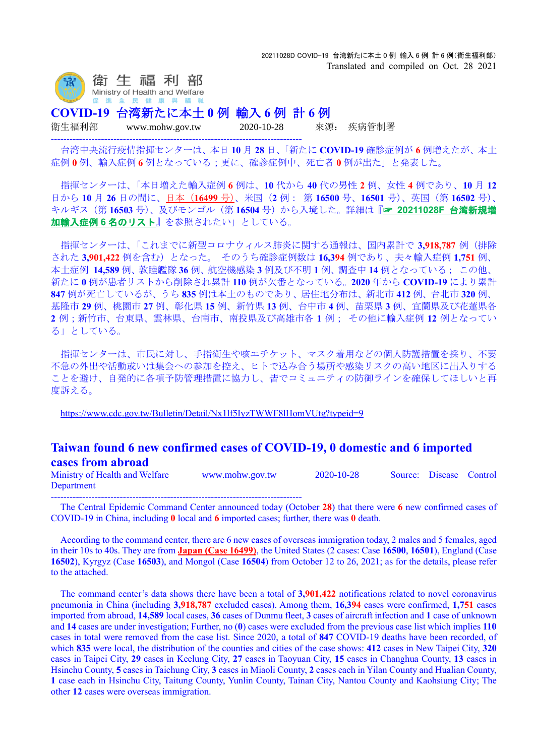

**COVID-19** 台湾新たに本土 **0** 例 輸入 **6** 例 計 **6** 例

--------------------------------------------------------------------------------

衛生福利部 www.mohw.gov.tw 2020-10-28 來源: 疾病管制署

台湾中央流行疫情指揮センターは、本日 **10** 月 **28** 日、「新たに **COVID-19** 確診症例が **6** 例増えたが、本土 症例 **0** 例、輸入症例 **6** 例となっている;更に、確診症例中、死亡者 **0** 例が出た」と発表した。

指揮センターは、「本日増えた輸入症例 **6** 例は、**10** 代から **40** 代の男性 **2** 例、女性 **4** 例であり、**10** 月 **12** 日から **10** 月 **26** 日の間に、日本(**16499** 号)、米国(**2** 例: 第 **16500** 号、**16501** 号)、英国(第 **16502** 号)、 キルギス(第 **16503** 号)、及びモンゴル(第 **16504** 号)から入境した。詳細は『☞ **[20211028F](https://www.mi-jch.com/wp-content/uploads/2021/10/cf997049cc09816fd1a3d93ce12d5756.xlsx)** 台湾新規増 [加輸入症例](https://www.mi-jch.com/wp-content/uploads/2021/10/cf997049cc09816fd1a3d93ce12d5756.xlsx) **6** 名のリスト』を参照されたい」としている。

指揮センターは、「これまでに新型コロナウィルス肺炎に関する通報は、国内累計で **3,918,787** 例(排除 された **3,901,422** 例を含む)となった。 そのうち確診症例数は **16,394** 例であり、夫々輸入症例 **1,751** 例、 本土症例 **14,589** 例、敦睦艦隊 **36** 例、航空機感染 **3** 例及び不明 **1** 例、調査中 **14** 例となっている; この他、 新たに **0** 例が患者リストから削除され累計 **110** 例が欠番となっている。**2020** 年から **COVID-19** により累計 **847** 例が死亡しているが、うち **835** 例は本土のものであり、居住地分布は、新北市 **412** 例、台北市 **320** 例、 基隆市 **29** 例、桃園市 **27** 例、彰化県 **15** 例、新竹県 **13** 例、台中市 **4** 例、苗栗県 **3** 例、宜蘭県及び花蓮県各 **2** 例;新竹市、台東県、雲林県、台南市、南投県及び高雄市各 **1** 例; その他に輸入症例 **12** 例となってい る」としている。

指揮センターは、市民に対し、手指衛生や咳エチケット、マスク着用などの個人防護措置を採り、不要 不急の外出や活動或いは集会への参加を控え、ヒトで込み合う場所や感染リスクの高い地区に出入りする ことを避け、自発的に各項予防管理措置に協力し、皆でコミュニティの防御ラインを確保してほしいと再 度訴える。

<https://www.cdc.gov.tw/Bulletin/Detail/Nx1lf5IyzTWWF8lHomVUtg?typeid=9>

## **Taiwan found 6 new confirmed cases of COVID-19, 0 domestic and 6 imported cases from abroad**

Ministry of Health and Welfare www.mohw.gov.tw 2020-10-28 Source: Disease Control Department

-------------------------------------------------------------------------------- The Central Epidemic Command Center announced today (October **28**) that there were **6** new confirmed cases of COVID-19 in China, including **0** local and **6** imported cases; further, there was **0** death.

According to the command center, there are 6 new cases of overseas immigration today, 2 males and 5 females, aged in their 10s to 40s. They are from **Japan (Case 16499)**, the United States (2 cases: Case **16500**, **16501**), England (Case **16502**), Kyrgyz (Case **16503**), and Mongol (Case **16504**) from October 12 to 26, 2021; as for the details, please refer to the attached.

The command center's data shows there have been a total of **3,901,422** notifications related to novel coronavirus pneumonia in China (including **3,918,787** excluded cases). Among them, **16,394** cases were confirmed, **1,751** cases imported from abroad, **14,589** local cases, **36** cases of Dunmu fleet, **3** cases of aircraft infection and **1** case of unknown and **14** cases are under investigation; Further, no (**0**) cases were excluded from the previous case list which implies **110** cases in total were removed from the case list. Since 2020, a total of **847** COVID-19 deaths have been recorded, of which **835** were local, the distribution of the counties and cities of the case shows: **412** cases in New Taipei City, **320** cases in Taipei City, **29** cases in Keelung City, **27** cases in Taoyuan City, **15** cases in Changhua County, **13** cases in Hsinchu County, **5** cases in Taichung City, **3** cases in Miaoli County, **2** cases each in Yilan County and Hualian County, **1** case each in Hsinchu City, Taitung County, Yunlin County, Tainan City, Nantou County and Kaohsiung City; The other **12** cases were overseas immigration.